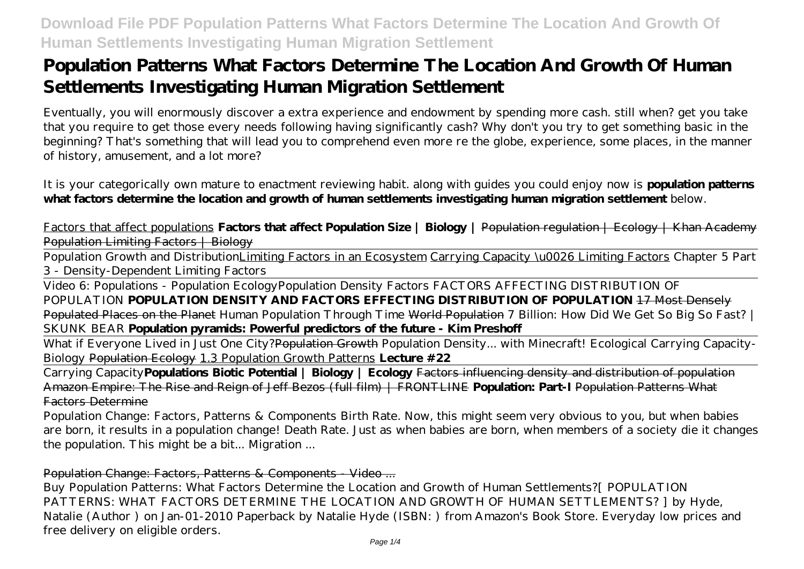# **Population Patterns What Factors Determine The Location And Growth Of Human Settlements Investigating Human Migration Settlement**

Eventually, you will enormously discover a extra experience and endowment by spending more cash. still when? get you take that you require to get those every needs following having significantly cash? Why don't you try to get something basic in the beginning? That's something that will lead you to comprehend even more re the globe, experience, some places, in the manner of history, amusement, and a lot more?

It is your categorically own mature to enactment reviewing habit. along with guides you could enjoy now is **population patterns what factors determine the location and growth of human settlements investigating human migration settlement** below.

Factors that affect populations **Factors that affect Population Size | Biology |** Population regulation | Ecology | Khan Academy Population Limiting Factors | Biology

Population Growth and DistributionLimiting Factors in an Ecosystem Carrying Capacity \u0026 Limiting Factors Chapter 5 Part 3 - Density-Dependent Limiting Factors

Video 6: Populations - Population Ecology*Population Density Factors FACTORS AFFECTING DISTRIBUTION OF POPULATION* **POPULATION DENSITY AND FACTORS EFFECTING DISTRIBUTION OF POPULATION** 17 Most Densely Populated Places on the Planet *Human Population Through Time* World Population *7 Billion: How Did We Get So Big So Fast? | SKUNK BEAR* **Population pyramids: Powerful predictors of the future - Kim Preshoff**

What if Everyone Lived in Just One City?Population Growth Population Density... with Minecraft! *Ecological Carrying Capacity-Biology* Population Ecology 1.3 Population Growth Patterns **Lecture #22**

Carrying Capacity**Populations Biotic Potential | Biology | Ecology** Factors influencing density and distribution of population Amazon Empire: The Rise and Reign of Jeff Bezos (full film) | FRONTLINE **Population: Part-I** Population Patterns What Factors Determine

Population Change: Factors, Patterns & Components Birth Rate. Now, this might seem very obvious to you, but when babies are born, it results in a population change! Death Rate. Just as when babies are born, when members of a society die it changes the population. This might be a bit... Migration ...

### Population Change: Factors, Patterns & Components - Video ...

Buy Population Patterns: What Factors Determine the Location and Growth of Human Settlements?[ POPULATION PATTERNS: WHAT FACTORS DETERMINE THE LOCATION AND GROWTH OF HUMAN SETTLEMENTS? I by Hyde, Natalie (Author ) on Jan-01-2010 Paperback by Natalie Hyde (ISBN: ) from Amazon's Book Store. Everyday low prices and free delivery on eligible orders.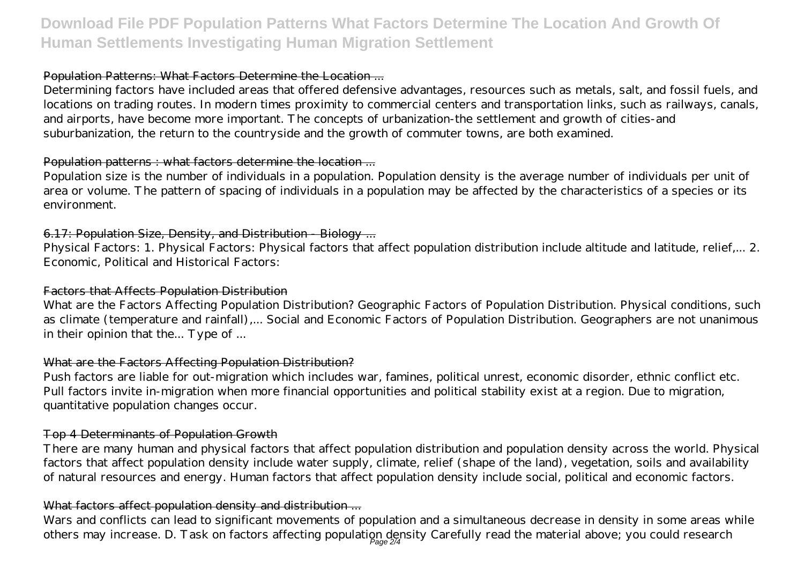# **Download File PDF Population Patterns What Factors Determine The Location And Growth Of Human Settlements Investigating Human Migration Settlement**

### Population Patterns: What Factors Determine the Location ...

Determining factors have included areas that offered defensive advantages, resources such as metals, salt, and fossil fuels, and locations on trading routes. In modern times proximity to commercial centers and transportation links, such as railways, canals, and airports, have become more important. The concepts of urbanization-the settlement and growth of cities-and suburbanization, the return to the countryside and the growth of commuter towns, are both examined.

#### Population patterns : what factors determine the location ...

Population size is the number of individuals in a population. Population density is the average number of individuals per unit of area or volume. The pattern of spacing of individuals in a population may be affected by the characteristics of a species or its environment.

### 6.17: Population Size, Density, and Distribution - Biology ...

Physical Factors: 1. Physical Factors: Physical factors that affect population distribution include altitude and latitude, relief,... 2. Economic, Political and Historical Factors:

### Factors that Affects Population Distribution

What are the Factors Affecting Population Distribution? Geographic Factors of Population Distribution. Physical conditions, such as climate (temperature and rainfall),... Social and Economic Factors of Population Distribution. Geographers are not unanimous in their opinion that the... Type of ...

### What are the Factors Affecting Population Distribution?

Push factors are liable for out-migration which includes war, famines, political unrest, economic disorder, ethnic conflict etc. Pull factors invite in-migration when more financial opportunities and political stability exist at a region. Due to migration, quantitative population changes occur.

### Top 4 Determinants of Population Growth

There are many human and physical factors that affect population distribution and population density across the world. Physical factors that affect population density include water supply, climate, relief (shape of the land), vegetation, soils and availability of natural resources and energy. Human factors that affect population density include social, political and economic factors.

### What factors affect population density and distribution ...

Wars and conflicts can lead to significant movements of population and a simultaneous decrease in density in some areas while others may increase. D. Task on factors affecting population density Carefully read the material above; you could research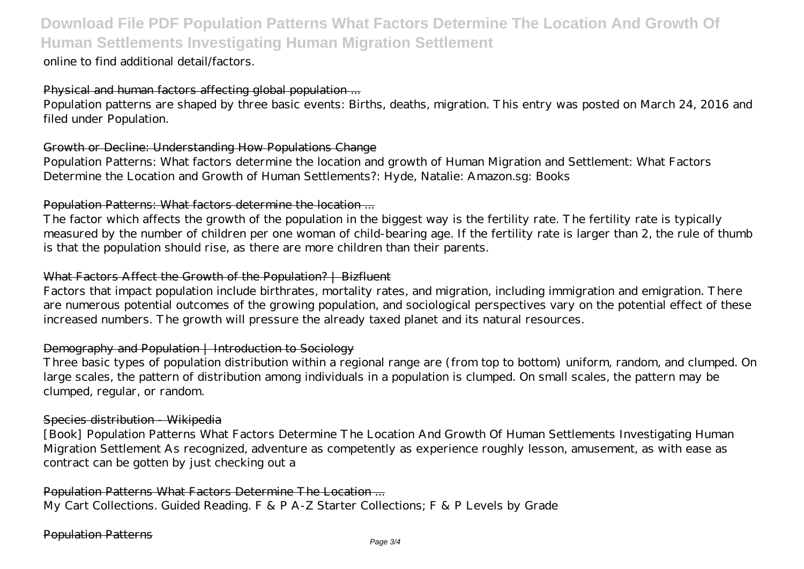## **Download File PDF Population Patterns What Factors Determine The Location And Growth Of Human Settlements Investigating Human Migration Settlement**

online to find additional detail/factors.

#### Physical and human factors affecting global population ...

Population patterns are shaped by three basic events: Births, deaths, migration. This entry was posted on March 24, 2016 and filed under Population.

#### Growth or Decline: Understanding How Populations Change

Population Patterns: What factors determine the location and growth of Human Migration and Settlement: What Factors Determine the Location and Growth of Human Settlements?: Hyde, Natalie: Amazon.sg: Books

### Population Patterns: What factors determine the location ...

The factor which affects the growth of the population in the biggest way is the fertility rate. The fertility rate is typically measured by the number of children per one woman of child-bearing age. If the fertility rate is larger than 2, the rule of thumb is that the population should rise, as there are more children than their parents.

#### What Factors Affect the Growth of the Population? | Bizfluent

Factors that impact population include birthrates, mortality rates, and migration, including immigration and emigration. There are numerous potential outcomes of the growing population, and sociological perspectives vary on the potential effect of these increased numbers. The growth will pressure the already taxed planet and its natural resources.

#### Demography and Population | Introduction to Sociology

Three basic types of population distribution within a regional range are (from top to bottom) uniform, random, and clumped. On large scales, the pattern of distribution among individuals in a population is clumped. On small scales, the pattern may be clumped, regular, or random.

#### Species distribution - Wikipedia

[Book] Population Patterns What Factors Determine The Location And Growth Of Human Settlements Investigating Human Migration Settlement As recognized, adventure as competently as experience roughly lesson, amusement, as with ease as contract can be gotten by just checking out a

Population Patterns What Factors Determine The Location ... My Cart Collections. Guided Reading. F & P A-Z Starter Collections; F & P Levels by Grade

#### Population Patterns